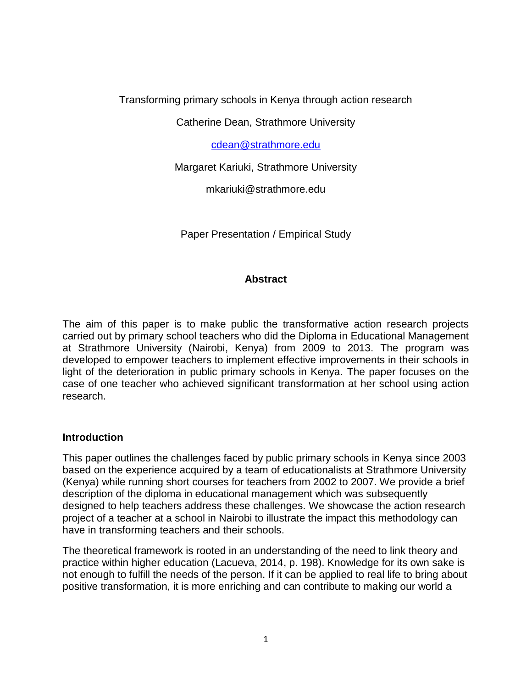Transforming primary schools in Kenya through action research

Catherine Dean, Strathmore University

[cdean@strathmore.edu](mailto:cdean@strathmore.edu)

Margaret Kariuki, Strathmore University

mkariuki@strathmore.edu

Paper Presentation / Empirical Study

# **Abstract**

The aim of this paper is to make public the transformative action research projects carried out by primary school teachers who did the Diploma in Educational Management at Strathmore University (Nairobi, Kenya) from 2009 to 2013. The program was developed to empower teachers to implement effective improvements in their schools in light of the deterioration in public primary schools in Kenya. The paper focuses on the case of one teacher who achieved significant transformation at her school using action research.

### **Introduction**

This paper outlines the challenges faced by public primary schools in Kenya since 2003 based on the experience acquired by a team of educationalists at Strathmore University (Kenya) while running short courses for teachers from 2002 to 2007. We provide a brief description of the diploma in educational management which was subsequently designed to help teachers address these challenges. We showcase the action research project of a teacher at a school in Nairobi to illustrate the impact this methodology can have in transforming teachers and their schools.

The theoretical framework is rooted in an understanding of the need to link theory and practice within higher education (Lacueva, 2014, p. 198). Knowledge for its own sake is not enough to fulfill the needs of the person. If it can be applied to real life to bring about positive transformation, it is more enriching and can contribute to making our world a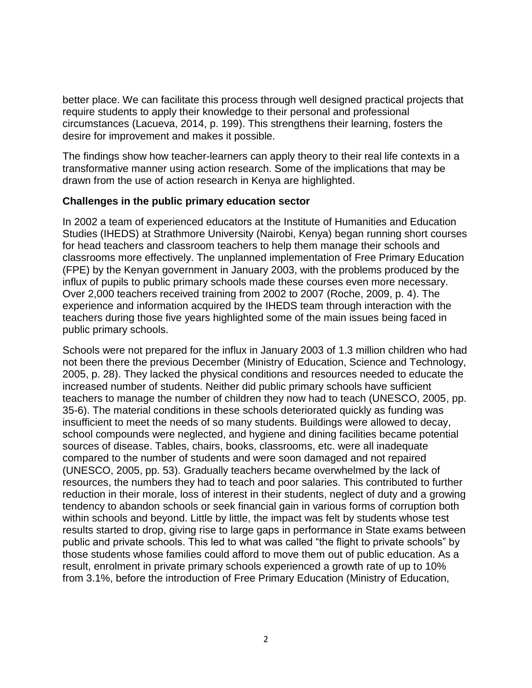better place. We can facilitate this process through well designed practical projects that require students to apply their knowledge to their personal and professional circumstances (Lacueva, 2014, p. 199). This strengthens their learning, fosters the desire for improvement and makes it possible.

The findings show how teacher-learners can apply theory to their real life contexts in a transformative manner using action research. Some of the implications that may be drawn from the use of action research in Kenya are highlighted.

#### **Challenges in the public primary education sector**

In 2002 a team of experienced educators at the Institute of Humanities and Education Studies (IHEDS) at Strathmore University (Nairobi, Kenya) began running short courses for head teachers and classroom teachers to help them manage their schools and classrooms more effectively. The unplanned implementation of Free Primary Education (FPE) by the Kenyan government in January 2003, with the problems produced by the influx of pupils to public primary schools made these courses even more necessary. Over 2,000 teachers received training from 2002 to 2007 (Roche, 2009, p. 4). The experience and information acquired by the IHEDS team through interaction with the teachers during those five years highlighted some of the main issues being faced in public primary schools.

Schools were not prepared for the influx in January 2003 of 1.3 million children who had not been there the previous December (Ministry of Education, Science and Technology, 2005, p. 28). They lacked the physical conditions and resources needed to educate the increased number of students. Neither did public primary schools have sufficient teachers to manage the number of children they now had to teach (UNESCO, 2005, pp. 35-6). The material conditions in these schools deteriorated quickly as funding was insufficient to meet the needs of so many students. Buildings were allowed to decay, school compounds were neglected, and hygiene and dining facilities became potential sources of disease. Tables, chairs, books, classrooms, etc. were all inadequate compared to the number of students and were soon damaged and not repaired (UNESCO, 2005, pp. 53). Gradually teachers became overwhelmed by the lack of resources, the numbers they had to teach and poor salaries. This contributed to further reduction in their morale, loss of interest in their students, neglect of duty and a growing tendency to abandon schools or seek financial gain in various forms of corruption both within schools and beyond. Little by little, the impact was felt by students whose test results started to drop, giving rise to large gaps in performance in State exams between public and private schools. This led to what was called "the flight to private schools" by those students whose families could afford to move them out of public education. As a result, enrolment in private primary schools experienced a growth rate of up to 10% from 3.1%, before the introduction of Free Primary Education (Ministry of Education,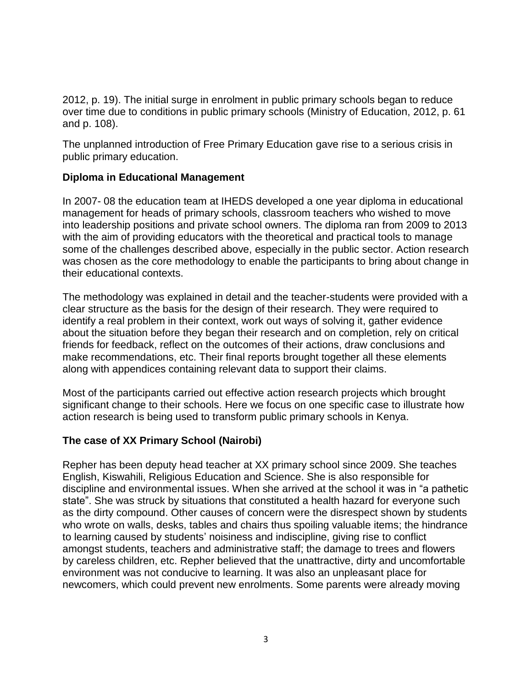2012, p. 19). The initial surge in enrolment in public primary schools began to reduce over time due to conditions in public primary schools (Ministry of Education, 2012, p. 61 and p. 108).

The unplanned introduction of Free Primary Education gave rise to a serious crisis in public primary education.

# **Diploma in Educational Management**

In 2007- 08 the education team at IHEDS developed a one year diploma in educational management for heads of primary schools, classroom teachers who wished to move into leadership positions and private school owners. The diploma ran from 2009 to 2013 with the aim of providing educators with the theoretical and practical tools to manage some of the challenges described above, especially in the public sector. Action research was chosen as the core methodology to enable the participants to bring about change in their educational contexts.

The methodology was explained in detail and the teacher-students were provided with a clear structure as the basis for the design of their research. They were required to identify a real problem in their context, work out ways of solving it, gather evidence about the situation before they began their research and on completion, rely on critical friends for feedback, reflect on the outcomes of their actions, draw conclusions and make recommendations, etc. Their final reports brought together all these elements along with appendices containing relevant data to support their claims.

Most of the participants carried out effective action research projects which brought significant change to their schools. Here we focus on one specific case to illustrate how action research is being used to transform public primary schools in Kenya.

# **The case of XX Primary School (Nairobi)**

Repher has been deputy head teacher at XX primary school since 2009. She teaches English, Kiswahili, Religious Education and Science. She is also responsible for discipline and environmental issues. When she arrived at the school it was in "a pathetic state". She was struck by situations that constituted a health hazard for everyone such as the dirty compound. Other causes of concern were the disrespect shown by students who wrote on walls, desks, tables and chairs thus spoiling valuable items; the hindrance to learning caused by students' noisiness and indiscipline, giving rise to conflict amongst students, teachers and administrative staff; the damage to trees and flowers by careless children, etc. Repher believed that the unattractive, dirty and uncomfortable environment was not conducive to learning. It was also an unpleasant place for newcomers, which could prevent new enrolments. Some parents were already moving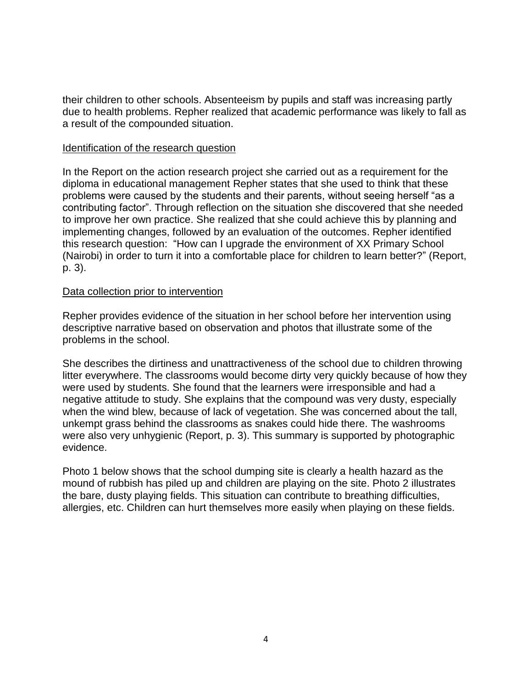their children to other schools. Absenteeism by pupils and staff was increasing partly due to health problems. Repher realized that academic performance was likely to fall as a result of the compounded situation.

#### Identification of the research question

In the Report on the action research project she carried out as a requirement for the diploma in educational management Repher states that she used to think that these problems were caused by the students and their parents, without seeing herself "as a contributing factor". Through reflection on the situation she discovered that she needed to improve her own practice. She realized that she could achieve this by planning and implementing changes, followed by an evaluation of the outcomes. Repher identified this research question: "How can I upgrade the environment of XX Primary School (Nairobi) in order to turn it into a comfortable place for children to learn better?" (Report, p. 3).

#### Data collection prior to intervention

Repher provides evidence of the situation in her school before her intervention using descriptive narrative based on observation and photos that illustrate some of the problems in the school.

She describes the dirtiness and unattractiveness of the school due to children throwing litter everywhere. The classrooms would become dirty very quickly because of how they were used by students. She found that the learners were irresponsible and had a negative attitude to study. She explains that the compound was very dusty, especially when the wind blew, because of lack of vegetation. She was concerned about the tall, unkempt grass behind the classrooms as snakes could hide there. The washrooms were also very unhygienic (Report, p. 3). This summary is supported by photographic evidence.

Photo 1 below shows that the school dumping site is clearly a health hazard as the mound of rubbish has piled up and children are playing on the site. Photo 2 illustrates the bare, dusty playing fields. This situation can contribute to breathing difficulties, allergies, etc. Children can hurt themselves more easily when playing on these fields.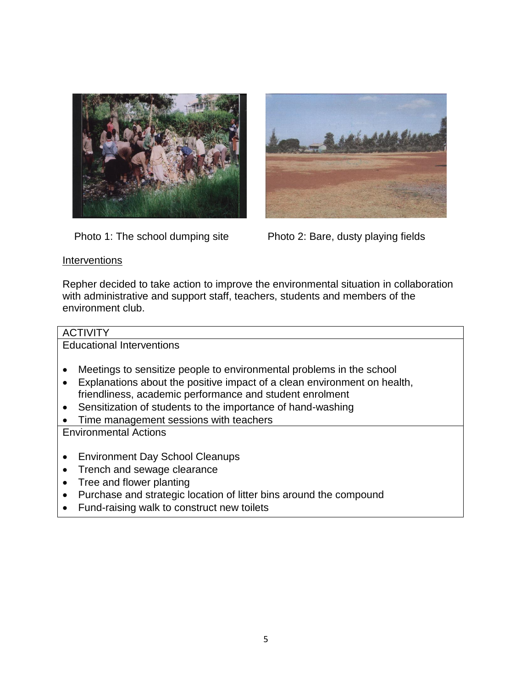



Photo 1: The school dumping site Photo 2: Bare, dusty playing fields

### **Interventions**

Repher decided to take action to improve the environmental situation in collaboration with administrative and support staff, teachers, students and members of the environment club.

### **ACTIVITY**

Educational Interventions

- Meetings to sensitize people to environmental problems in the school
- Explanations about the positive impact of a clean environment on health, friendliness, academic performance and student enrolment
- Sensitization of students to the importance of hand-washing
- Time management sessions with teachers

Environmental Actions

- Environment Day School Cleanups
- Trench and sewage clearance
- Tree and flower planting
- Purchase and strategic location of litter bins around the compound
- Fund-raising walk to construct new toilets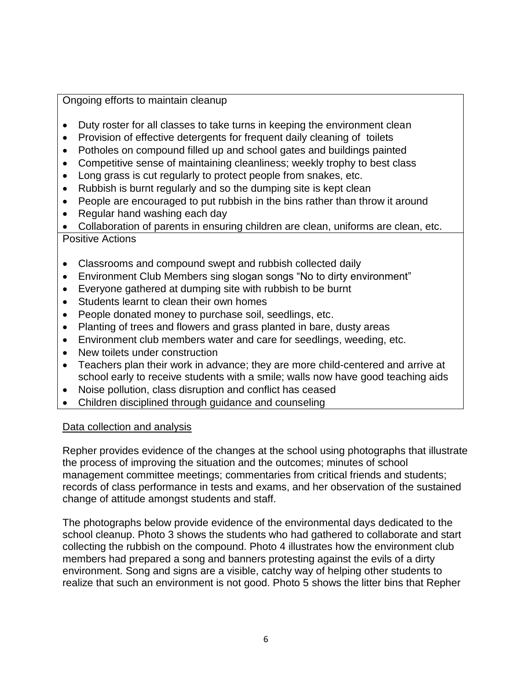### Ongoing efforts to maintain cleanup

- Duty roster for all classes to take turns in keeping the environment clean
- Provision of effective detergents for frequent daily cleaning of toilets
- Potholes on compound filled up and school gates and buildings painted
- Competitive sense of maintaining cleanliness; weekly trophy to best class
- Long grass is cut regularly to protect people from snakes, etc.
- Rubbish is burnt regularly and so the dumping site is kept clean
- People are encouraged to put rubbish in the bins rather than throw it around
- Regular hand washing each day

 Collaboration of parents in ensuring children are clean, uniforms are clean, etc. Positive Actions

- Classrooms and compound swept and rubbish collected daily
- Environment Club Members sing slogan songs "No to dirty environment"
- Everyone gathered at dumping site with rubbish to be burnt
- Students learnt to clean their own homes
- People donated money to purchase soil, seedlings, etc.
- Planting of trees and flowers and grass planted in bare, dusty areas
- Environment club members water and care for seedlings, weeding, etc.
- New toilets under construction
- Teachers plan their work in advance; they are more child-centered and arrive at school early to receive students with a smile; walls now have good teaching aids
- Noise pollution, class disruption and conflict has ceased
- Children disciplined through guidance and counseling

### Data collection and analysis

Repher provides evidence of the changes at the school using photographs that illustrate the process of improving the situation and the outcomes; minutes of school management committee meetings; commentaries from critical friends and students; records of class performance in tests and exams, and her observation of the sustained change of attitude amongst students and staff.

The photographs below provide evidence of the environmental days dedicated to the school cleanup. Photo 3 shows the students who had gathered to collaborate and start collecting the rubbish on the compound. Photo 4 illustrates how the environment club members had prepared a song and banners protesting against the evils of a dirty environment. Song and signs are a visible, catchy way of helping other students to realize that such an environment is not good. Photo 5 shows the litter bins that Repher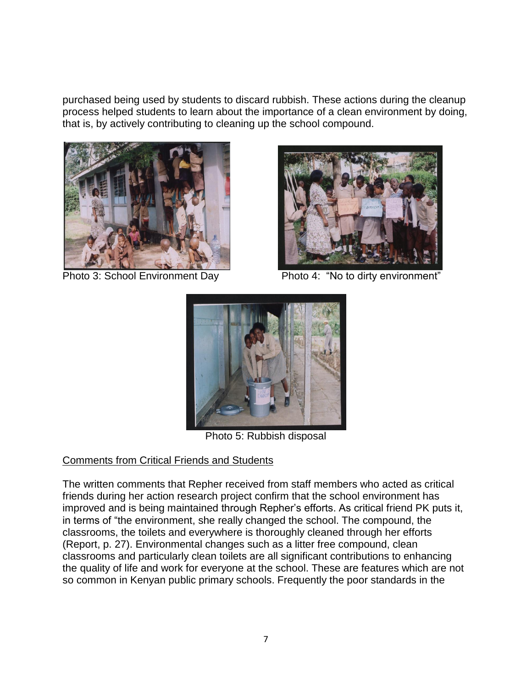purchased being used by students to discard rubbish. These actions during the cleanup process helped students to learn about the importance of a clean environment by doing, that is, by actively contributing to cleaning up the school compound.





Photo 3: School Environment Day Photo 4: "No to dirty environment"



Photo 5: Rubbish disposal

# Comments from Critical Friends and Students

The written comments that Repher received from staff members who acted as critical friends during her action research project confirm that the school environment has improved and is being maintained through Repher's efforts. As critical friend PK puts it, in terms of "the environment, she really changed the school. The compound, the classrooms, the toilets and everywhere is thoroughly cleaned through her efforts (Report, p. 27). Environmental changes such as a litter free compound, clean classrooms and particularly clean toilets are all significant contributions to enhancing the quality of life and work for everyone at the school. These are features which are not so common in Kenyan public primary schools. Frequently the poor standards in the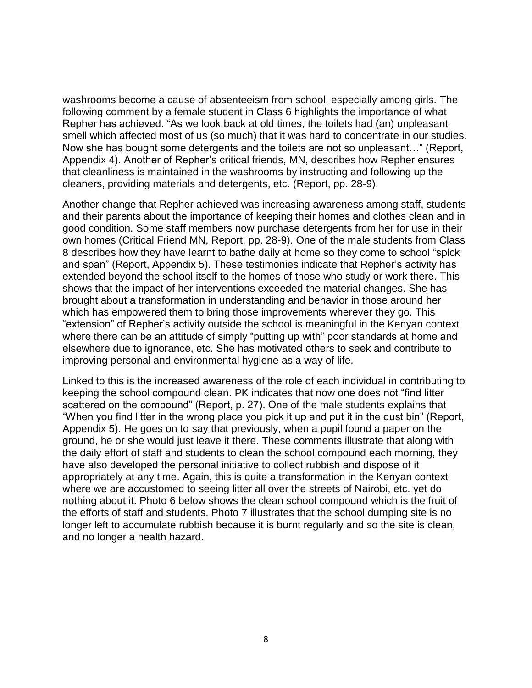washrooms become a cause of absenteeism from school, especially among girls. The following comment by a female student in Class 6 highlights the importance of what Repher has achieved. "As we look back at old times, the toilets had (an) unpleasant smell which affected most of us (so much) that it was hard to concentrate in our studies. Now she has bought some detergents and the toilets are not so unpleasant…" (Report, Appendix 4). Another of Repher's critical friends, MN, describes how Repher ensures that cleanliness is maintained in the washrooms by instructing and following up the cleaners, providing materials and detergents, etc. (Report, pp. 28-9).

Another change that Repher achieved was increasing awareness among staff, students and their parents about the importance of keeping their homes and clothes clean and in good condition. Some staff members now purchase detergents from her for use in their own homes (Critical Friend MN, Report, pp. 28-9). One of the male students from Class 8 describes how they have learnt to bathe daily at home so they come to school "spick and span" (Report, Appendix 5). These testimonies indicate that Repher's activity has extended beyond the school itself to the homes of those who study or work there. This shows that the impact of her interventions exceeded the material changes. She has brought about a transformation in understanding and behavior in those around her which has empowered them to bring those improvements wherever they go. This "extension" of Repher's activity outside the school is meaningful in the Kenyan context where there can be an attitude of simply "putting up with" poor standards at home and elsewhere due to ignorance, etc. She has motivated others to seek and contribute to improving personal and environmental hygiene as a way of life.

Linked to this is the increased awareness of the role of each individual in contributing to keeping the school compound clean. PK indicates that now one does not "find litter scattered on the compound" (Report, p. 27). One of the male students explains that "When you find litter in the wrong place you pick it up and put it in the dust bin" (Report, Appendix 5). He goes on to say that previously, when a pupil found a paper on the ground, he or she would just leave it there. These comments illustrate that along with the daily effort of staff and students to clean the school compound each morning, they have also developed the personal initiative to collect rubbish and dispose of it appropriately at any time. Again, this is quite a transformation in the Kenyan context where we are accustomed to seeing litter all over the streets of Nairobi, etc. yet do nothing about it. Photo 6 below shows the clean school compound which is the fruit of the efforts of staff and students. Photo 7 illustrates that the school dumping site is no longer left to accumulate rubbish because it is burnt regularly and so the site is clean, and no longer a health hazard.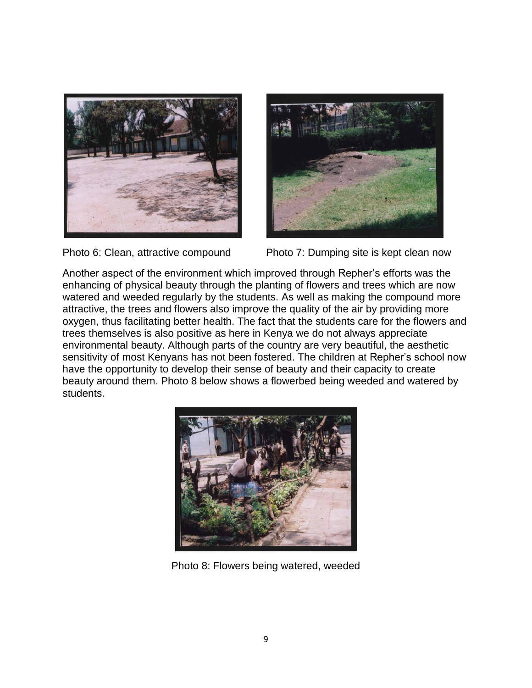





Photo 6: Clean, attractive compound Photo 7: Dumping site is kept clean now

Another aspect of the environment which improved through Repher's efforts was the enhancing of physical beauty through the planting of flowers and trees which are now watered and weeded regularly by the students. As well as making the compound more attractive, the trees and flowers also improve the quality of the air by providing more oxygen, thus facilitating better health. The fact that the students care for the flowers and trees themselves is also positive as here in Kenya we do not always appreciate environmental beauty. Although parts of the country are very beautiful, the aesthetic sensitivity of most Kenyans has not been fostered. The children at Repher's school now have the opportunity to develop their sense of beauty and their capacity to create beauty around them. Photo 8 below shows a flowerbed being weeded and watered by students.



Photo 8: Flowers being watered, weeded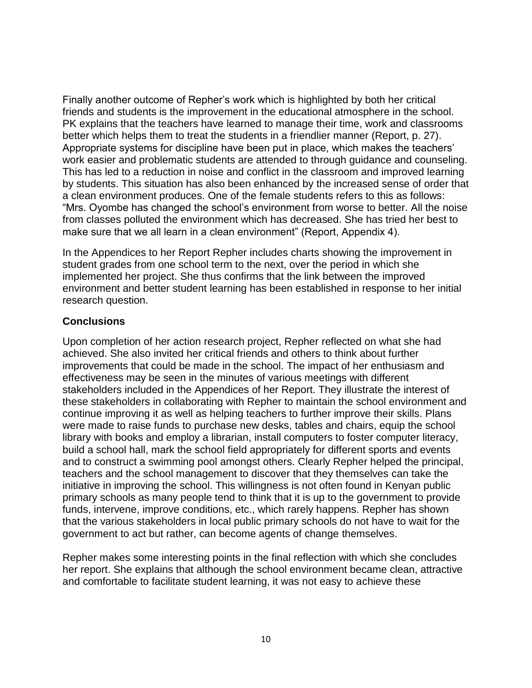Finally another outcome of Repher's work which is highlighted by both her critical friends and students is the improvement in the educational atmosphere in the school. PK explains that the teachers have learned to manage their time, work and classrooms better which helps them to treat the students in a friendlier manner (Report, p. 27). Appropriate systems for discipline have been put in place, which makes the teachers' work easier and problematic students are attended to through guidance and counseling. This has led to a reduction in noise and conflict in the classroom and improved learning by students. This situation has also been enhanced by the increased sense of order that a clean environment produces. One of the female students refers to this as follows: "Mrs. Oyombe has changed the school's environment from worse to better. All the noise from classes polluted the environment which has decreased. She has tried her best to make sure that we all learn in a clean environment" (Report, Appendix 4).

In the Appendices to her Report Repher includes charts showing the improvement in student grades from one school term to the next, over the period in which she implemented her project. She thus confirms that the link between the improved environment and better student learning has been established in response to her initial research question.

# **Conclusions**

Upon completion of her action research project, Repher reflected on what she had achieved. She also invited her critical friends and others to think about further improvements that could be made in the school. The impact of her enthusiasm and effectiveness may be seen in the minutes of various meetings with different stakeholders included in the Appendices of her Report. They illustrate the interest of these stakeholders in collaborating with Repher to maintain the school environment and continue improving it as well as helping teachers to further improve their skills. Plans were made to raise funds to purchase new desks, tables and chairs, equip the school library with books and employ a librarian, install computers to foster computer literacy, build a school hall, mark the school field appropriately for different sports and events and to construct a swimming pool amongst others. Clearly Repher helped the principal, teachers and the school management to discover that they themselves can take the initiative in improving the school. This willingness is not often found in Kenyan public primary schools as many people tend to think that it is up to the government to provide funds, intervene, improve conditions, etc., which rarely happens. Repher has shown that the various stakeholders in local public primary schools do not have to wait for the government to act but rather, can become agents of change themselves.

Repher makes some interesting points in the final reflection with which she concludes her report. She explains that although the school environment became clean, attractive and comfortable to facilitate student learning, it was not easy to achieve these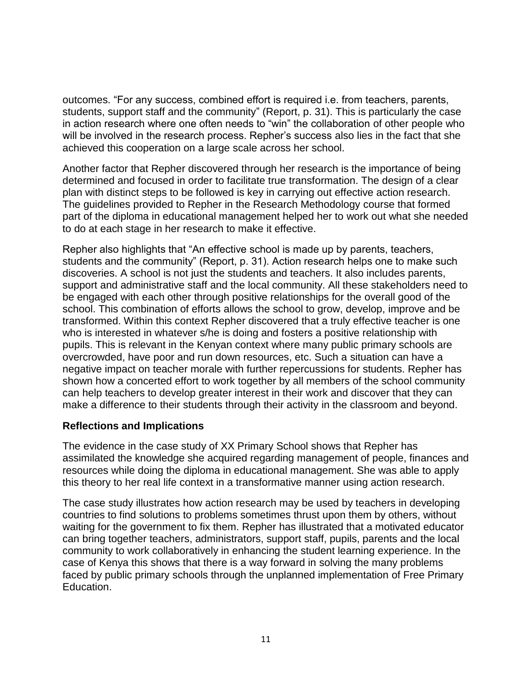outcomes. "For any success, combined effort is required i.e. from teachers, parents, students, support staff and the community" (Report, p. 31). This is particularly the case in action research where one often needs to "win" the collaboration of other people who will be involved in the research process. Repher's success also lies in the fact that she achieved this cooperation on a large scale across her school.

Another factor that Repher discovered through her research is the importance of being determined and focused in order to facilitate true transformation. The design of a clear plan with distinct steps to be followed is key in carrying out effective action research. The guidelines provided to Repher in the Research Methodology course that formed part of the diploma in educational management helped her to work out what she needed to do at each stage in her research to make it effective.

Repher also highlights that "An effective school is made up by parents, teachers, students and the community" (Report, p. 31). Action research helps one to make such discoveries. A school is not just the students and teachers. It also includes parents, support and administrative staff and the local community. All these stakeholders need to be engaged with each other through positive relationships for the overall good of the school. This combination of efforts allows the school to grow, develop, improve and be transformed. Within this context Repher discovered that a truly effective teacher is one who is interested in whatever s/he is doing and fosters a positive relationship with pupils. This is relevant in the Kenyan context where many public primary schools are overcrowded, have poor and run down resources, etc. Such a situation can have a negative impact on teacher morale with further repercussions for students. Repher has shown how a concerted effort to work together by all members of the school community can help teachers to develop greater interest in their work and discover that they can make a difference to their students through their activity in the classroom and beyond.

### **Reflections and Implications**

The evidence in the case study of XX Primary School shows that Repher has assimilated the knowledge she acquired regarding management of people, finances and resources while doing the diploma in educational management. She was able to apply this theory to her real life context in a transformative manner using action research.

The case study illustrates how action research may be used by teachers in developing countries to find solutions to problems sometimes thrust upon them by others, without waiting for the government to fix them. Repher has illustrated that a motivated educator can bring together teachers, administrators, support staff, pupils, parents and the local community to work collaboratively in enhancing the student learning experience. In the case of Kenya this shows that there is a way forward in solving the many problems faced by public primary schools through the unplanned implementation of Free Primary Education.